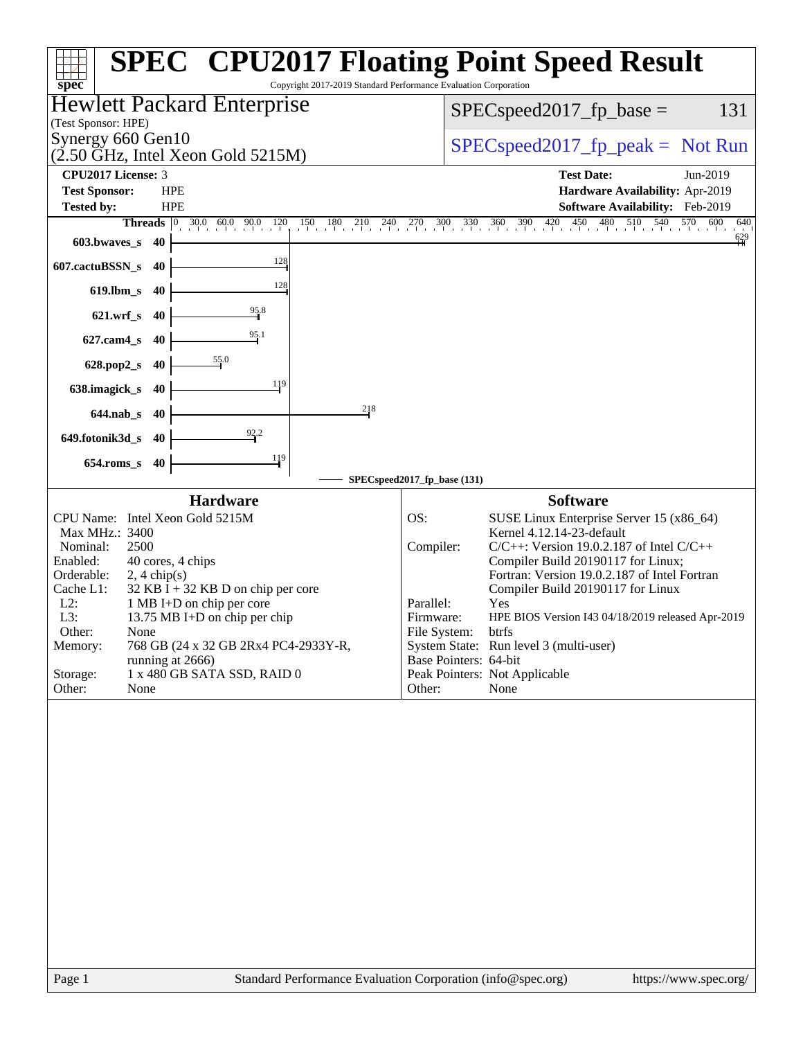| spec <sup>®</sup>                                                                                                                                                                                                                                                                                                                                                                                                                                           | <b>SPEC<sup>®</sup> CPU2017 Floating Point Speed Result</b><br>Copyright 2017-2019 Standard Performance Evaluation Corporation                                                                                                                                                                                                                                                                                                                                                                                                |
|-------------------------------------------------------------------------------------------------------------------------------------------------------------------------------------------------------------------------------------------------------------------------------------------------------------------------------------------------------------------------------------------------------------------------------------------------------------|-------------------------------------------------------------------------------------------------------------------------------------------------------------------------------------------------------------------------------------------------------------------------------------------------------------------------------------------------------------------------------------------------------------------------------------------------------------------------------------------------------------------------------|
| <b>Hewlett Packard Enterprise</b><br>(Test Sponsor: HPE)                                                                                                                                                                                                                                                                                                                                                                                                    | 131<br>$SPEC speed2017_fp\_base =$                                                                                                                                                                                                                                                                                                                                                                                                                                                                                            |
| Synergy 660 Gen10<br>$(2.50 \text{ GHz}, \text{Intel Xeon Gold } 5215 \text{M})$                                                                                                                                                                                                                                                                                                                                                                            | $SPEC speed2017_fp\_peak = Not Run$                                                                                                                                                                                                                                                                                                                                                                                                                                                                                           |
| <b>CPU2017 License: 3</b>                                                                                                                                                                                                                                                                                                                                                                                                                                   | <b>Test Date:</b><br>Jun-2019                                                                                                                                                                                                                                                                                                                                                                                                                                                                                                 |
| <b>Test Sponsor:</b><br><b>HPE</b>                                                                                                                                                                                                                                                                                                                                                                                                                          | Hardware Availability: Apr-2019                                                                                                                                                                                                                                                                                                                                                                                                                                                                                               |
| <b>Tested by:</b><br><b>HPE</b>                                                                                                                                                                                                                                                                                                                                                                                                                             | Software Availability: Feb-2019                                                                                                                                                                                                                                                                                                                                                                                                                                                                                               |
| <b>Threads</b> $\begin{bmatrix} 0 & 30.0 & 60.0 & 90.0 & 120 \end{bmatrix}$                                                                                                                                                                                                                                                                                                                                                                                 | 150 180 210 240 270 300 330 360 390 420 450 480 510 540 570 600<br>640<br>$\frac{629}{11}$                                                                                                                                                                                                                                                                                                                                                                                                                                    |
| 603.bwaves_s<br>40                                                                                                                                                                                                                                                                                                                                                                                                                                          |                                                                                                                                                                                                                                                                                                                                                                                                                                                                                                                               |
| 128<br>607.cactuBSSN_s<br>40                                                                                                                                                                                                                                                                                                                                                                                                                                |                                                                                                                                                                                                                                                                                                                                                                                                                                                                                                                               |
| 128<br>$619$ .lbm_s<br>-40                                                                                                                                                                                                                                                                                                                                                                                                                                  |                                                                                                                                                                                                                                                                                                                                                                                                                                                                                                                               |
| $\frac{95.8}{9}$<br>$621.wrf$ <sub>S</sub><br>- 40                                                                                                                                                                                                                                                                                                                                                                                                          |                                                                                                                                                                                                                                                                                                                                                                                                                                                                                                                               |
| $\frac{95.1}{5}$<br>$627$ .cam $4$ <sub>S</sub><br>40                                                                                                                                                                                                                                                                                                                                                                                                       |                                                                                                                                                                                                                                                                                                                                                                                                                                                                                                                               |
| $\frac{55}{9}$ .0<br>628.pop2_s<br>40                                                                                                                                                                                                                                                                                                                                                                                                                       |                                                                                                                                                                                                                                                                                                                                                                                                                                                                                                                               |
| 119<br>638.imagick_s<br>40                                                                                                                                                                                                                                                                                                                                                                                                                                  |                                                                                                                                                                                                                                                                                                                                                                                                                                                                                                                               |
| 218<br>$644.nab_s$<br>40                                                                                                                                                                                                                                                                                                                                                                                                                                    |                                                                                                                                                                                                                                                                                                                                                                                                                                                                                                                               |
| 649.fotonik3d_s<br>-40                                                                                                                                                                                                                                                                                                                                                                                                                                      |                                                                                                                                                                                                                                                                                                                                                                                                                                                                                                                               |
| $\frac{119}{ }$<br>$654$ .roms_s<br>40                                                                                                                                                                                                                                                                                                                                                                                                                      |                                                                                                                                                                                                                                                                                                                                                                                                                                                                                                                               |
|                                                                                                                                                                                                                                                                                                                                                                                                                                                             | SPECspeed2017_fp_base (131)                                                                                                                                                                                                                                                                                                                                                                                                                                                                                                   |
| <b>Hardware</b><br>CPU Name: Intel Xeon Gold 5215M<br>Max MHz.: 3400<br>2500<br>Nominal:<br>Enabled:<br>40 cores, 4 chips<br>Orderable:<br>$2, 4 \text{ chip}(s)$<br>Cache L1:<br>$32$ KB I + 32 KB D on chip per core<br>$L2$ :<br>1 MB I+D on chip per core<br>L3:<br>13.75 MB I+D on chip per chip<br>Other:<br>None<br>Memory:<br>768 GB (24 x 32 GB 2Rx4 PC4-2933Y-R,<br>running at 2666)<br>1 x 480 GB SATA SSD, RAID 0<br>Storage:<br>Other:<br>None | <b>Software</b><br>OS:<br>SUSE Linux Enterprise Server 15 (x86_64)<br>Kernel 4.12.14-23-default<br>$C/C++$ : Version 19.0.2.187 of Intel $C/C++$<br>Compiler:<br>Compiler Build 20190117 for Linux;<br>Fortran: Version 19.0.2.187 of Intel Fortran<br>Compiler Build 20190117 for Linux<br>Parallel:<br>Yes<br>Firmware:<br>HPE BIOS Version I43 04/18/2019 released Apr-2019<br>File System:<br>btrfs<br>System State: Run level 3 (multi-user)<br>Base Pointers: 64-bit<br>Peak Pointers: Not Applicable<br>Other:<br>None |
| Page 1                                                                                                                                                                                                                                                                                                                                                                                                                                                      | Standard Performance Evaluation Corporation (info@spec.org)<br>https://www.spec.org/                                                                                                                                                                                                                                                                                                                                                                                                                                          |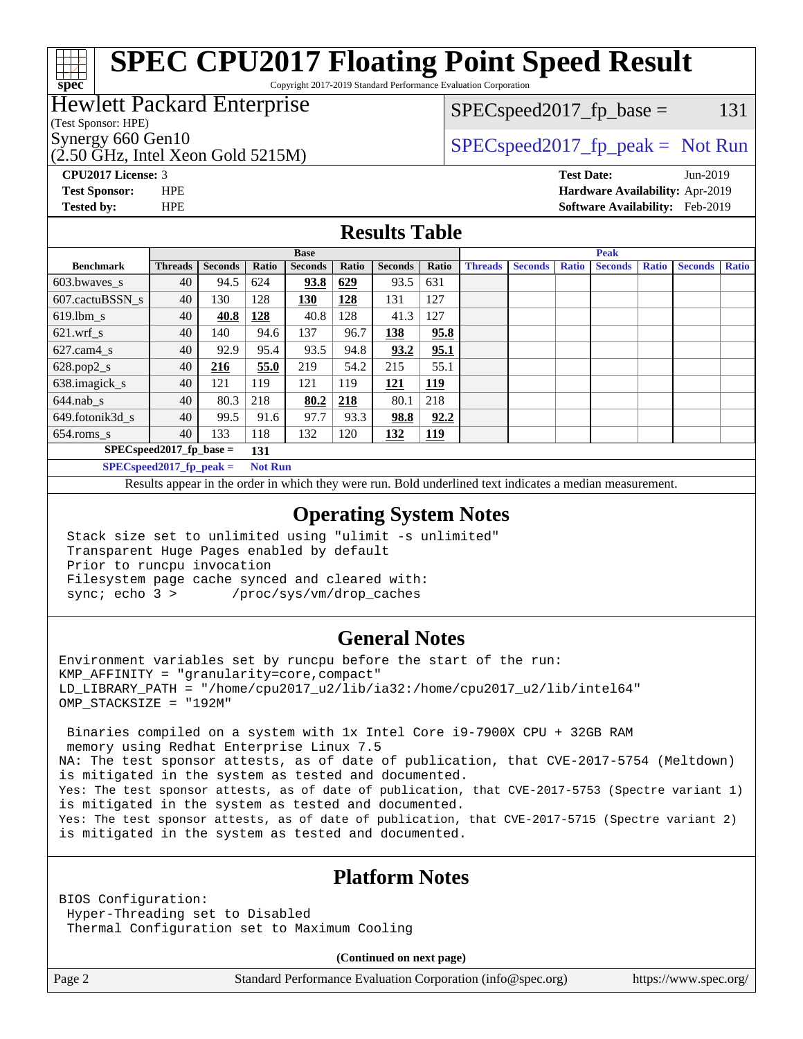Copyright 2017-2019 Standard Performance Evaluation Corporation

## Hewlett Packard Enterprise

(Test Sponsor: HPE)

**[spec](http://www.spec.org/)**

(2.50 GHz, Intel Xeon Gold 5215M)

Synergy 660 Gen10  $SPEC speed2017$  fp\_peak = Not Run  $SPEC speed2017_f p\_base = 131$ 

**[CPU2017 License:](http://www.spec.org/auto/cpu2017/Docs/result-fields.html#CPU2017License)** 3 **[Test Date:](http://www.spec.org/auto/cpu2017/Docs/result-fields.html#TestDate)** Jun-2019

**[Test Sponsor:](http://www.spec.org/auto/cpu2017/Docs/result-fields.html#TestSponsor)** HPE **[Hardware Availability:](http://www.spec.org/auto/cpu2017/Docs/result-fields.html#HardwareAvailability)** Apr-2019 **[Tested by:](http://www.spec.org/auto/cpu2017/Docs/result-fields.html#Testedby)** HPE **[Software Availability:](http://www.spec.org/auto/cpu2017/Docs/result-fields.html#SoftwareAvailability)** Feb-2019

### **[Results Table](http://www.spec.org/auto/cpu2017/Docs/result-fields.html#ResultsTable)**

|                          | <b>Base</b>                |                |                |                |       | <b>Peak</b>    |            |                |                |              |                |              |                |              |
|--------------------------|----------------------------|----------------|----------------|----------------|-------|----------------|------------|----------------|----------------|--------------|----------------|--------------|----------------|--------------|
| <b>Benchmark</b>         | <b>Threads</b>             | <b>Seconds</b> | Ratio          | <b>Seconds</b> | Ratio | <b>Seconds</b> | Ratio      | <b>Threads</b> | <b>Seconds</b> | <b>Ratio</b> | <b>Seconds</b> | <b>Ratio</b> | <b>Seconds</b> | <b>Ratio</b> |
| $603.bwaves$ s           | 40                         | 94.5           | 624            | 93.8           | 629   | 93.5           | 631        |                |                |              |                |              |                |              |
| 607.cactuBSSN s          | 40                         | 130            | 128            | 130            | 128   | 131            | 127        |                |                |              |                |              |                |              |
| $619$ .lbm s             | 40                         | 40.8           | 128            | 40.8           | 128   | 41.3           | 127        |                |                |              |                |              |                |              |
| $621.wrf$ s              | 40                         | 140            | 94.6           | 137            | 96.7  | 138            | 95.8       |                |                |              |                |              |                |              |
| $627$ .cam $4 \text{ s}$ | 40                         | 92.9           | 95.4           | 93.5           | 94.8  | 93.2           | 95.1       |                |                |              |                |              |                |              |
| $628.pop2_s$             | 40                         | 216            | 55.0           | 219            | 54.2  | 215            | 55.1       |                |                |              |                |              |                |              |
| 638.imagick_s            | 40                         | 121            | 119            | 121            | 119   | 121            | <u>119</u> |                |                |              |                |              |                |              |
| $644$ .nab s             | 40                         | 80.3           | 218            | 80.2           | 218   | 80.1           | 218        |                |                |              |                |              |                |              |
| 649.fotonik3d s          | 40                         | 99.5           | 91.6           | 97.7           | 93.3  | 98.8           | 92.2       |                |                |              |                |              |                |              |
| $654$ .roms_s            | 40                         | 133            | 118            | 132            | 120   | 132            | 119        |                |                |              |                |              |                |              |
|                          | $SPEC speed2017$ fp base = |                | 131            |                |       |                |            |                |                |              |                |              |                |              |
|                          | $SPECspeed2017_fp\_peak =$ |                | <b>Not Run</b> |                |       |                |            |                |                |              |                |              |                |              |

Results appear in the [order in which they were run.](http://www.spec.org/auto/cpu2017/Docs/result-fields.html#RunOrder) Bold underlined text [indicates a median measurement](http://www.spec.org/auto/cpu2017/Docs/result-fields.html#Median).

#### **[Operating System Notes](http://www.spec.org/auto/cpu2017/Docs/result-fields.html#OperatingSystemNotes)**

 Stack size set to unlimited using "ulimit -s unlimited" Transparent Huge Pages enabled by default Prior to runcpu invocation Filesystem page cache synced and cleared with: sync; echo 3 > /proc/sys/vm/drop\_caches

### **[General Notes](http://www.spec.org/auto/cpu2017/Docs/result-fields.html#GeneralNotes)**

Environment variables set by runcpu before the start of the run: KMP\_AFFINITY = "granularity=core,compact" LD\_LIBRARY\_PATH = "/home/cpu2017\_u2/lib/ia32:/home/cpu2017\_u2/lib/intel64" OMP\_STACKSIZE = "192M"

 Binaries compiled on a system with 1x Intel Core i9-7900X CPU + 32GB RAM memory using Redhat Enterprise Linux 7.5 NA: The test sponsor attests, as of date of publication, that CVE-2017-5754 (Meltdown) is mitigated in the system as tested and documented. Yes: The test sponsor attests, as of date of publication, that CVE-2017-5753 (Spectre variant 1) is mitigated in the system as tested and documented. Yes: The test sponsor attests, as of date of publication, that CVE-2017-5715 (Spectre variant 2) is mitigated in the system as tested and documented.

## **[Platform Notes](http://www.spec.org/auto/cpu2017/Docs/result-fields.html#PlatformNotes)**

BIOS Configuration: Hyper-Threading set to Disabled Thermal Configuration set to Maximum Cooling

**(Continued on next page)**

Page 2 Standard Performance Evaluation Corporation [\(info@spec.org\)](mailto:info@spec.org) <https://www.spec.org/>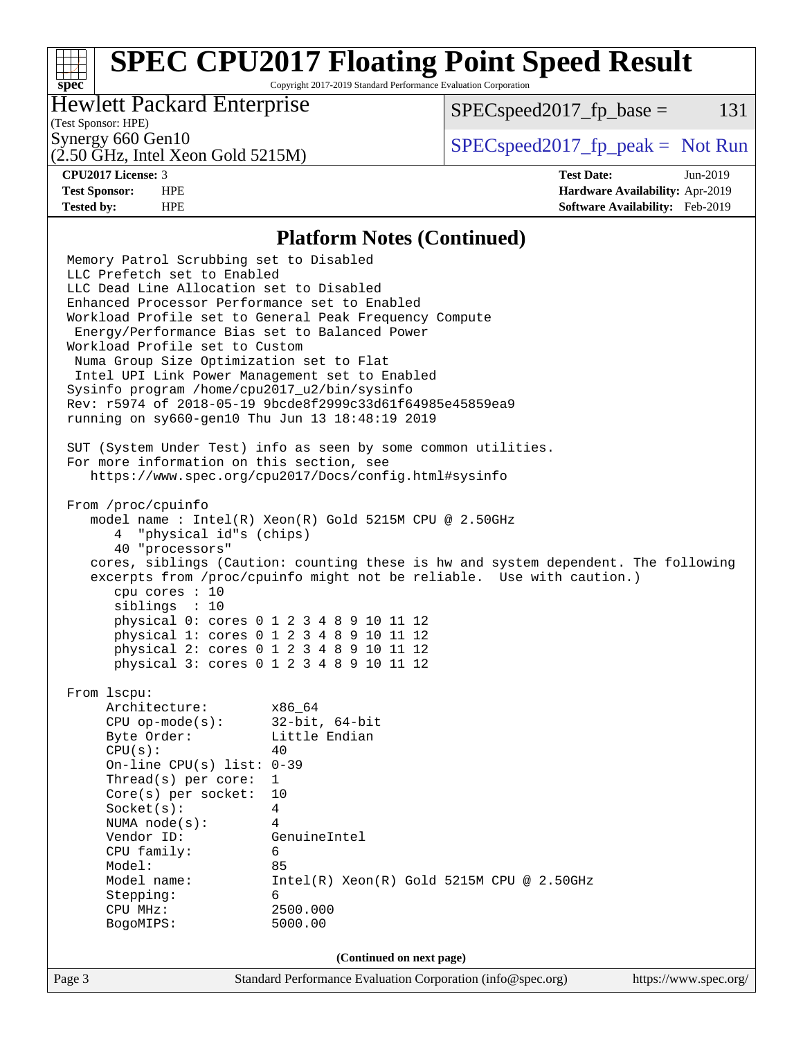Copyright 2017-2019 Standard Performance Evaluation Corporation

## Hewlett Packard Enterprise

 $SPEC speed2017<sub>fp</sub> base = 131$ 

# (Test Sponsor: HPE)

(2.50 GHz, Intel Xeon Gold 5215M)

Synergy 660 Gen10<br>  $SPEC speed2017<sub>rfp</sub> peak = Not Run$ 

**[spec](http://www.spec.org/)**

**[Tested by:](http://www.spec.org/auto/cpu2017/Docs/result-fields.html#Testedby)** HPE **[Software Availability:](http://www.spec.org/auto/cpu2017/Docs/result-fields.html#SoftwareAvailability)** Feb-2019

**[CPU2017 License:](http://www.spec.org/auto/cpu2017/Docs/result-fields.html#CPU2017License)** 3 **[Test Date:](http://www.spec.org/auto/cpu2017/Docs/result-fields.html#TestDate)** Jun-2019 **[Test Sponsor:](http://www.spec.org/auto/cpu2017/Docs/result-fields.html#TestSponsor)** HPE **[Hardware Availability:](http://www.spec.org/auto/cpu2017/Docs/result-fields.html#HardwareAvailability)** Apr-2019

#### **[Platform Notes \(Continued\)](http://www.spec.org/auto/cpu2017/Docs/result-fields.html#PlatformNotes)**

Page 3 Standard Performance Evaluation Corporation [\(info@spec.org\)](mailto:info@spec.org) <https://www.spec.org/> Memory Patrol Scrubbing set to Disabled LLC Prefetch set to Enabled LLC Dead Line Allocation set to Disabled Enhanced Processor Performance set to Enabled Workload Profile set to General Peak Frequency Compute Energy/Performance Bias set to Balanced Power Workload Profile set to Custom Numa Group Size Optimization set to Flat Intel UPI Link Power Management set to Enabled Sysinfo program /home/cpu2017\_u2/bin/sysinfo Rev: r5974 of 2018-05-19 9bcde8f2999c33d61f64985e45859ea9 running on sy660-gen10 Thu Jun 13 18:48:19 2019 SUT (System Under Test) info as seen by some common utilities. For more information on this section, see <https://www.spec.org/cpu2017/Docs/config.html#sysinfo> From /proc/cpuinfo model name : Intel(R) Xeon(R) Gold 5215M CPU @ 2.50GHz 4 "physical id"s (chips) 40 "processors" cores, siblings (Caution: counting these is hw and system dependent. The following excerpts from /proc/cpuinfo might not be reliable. Use with caution.) cpu cores : 10 siblings : 10 physical 0: cores 0 1 2 3 4 8 9 10 11 12 physical 1: cores 0 1 2 3 4 8 9 10 11 12 physical 2: cores 0 1 2 3 4 8 9 10 11 12 physical 3: cores 0 1 2 3 4 8 9 10 11 12 From lscpu: Architecture: x86\_64 CPU op-mode(s): 32-bit, 64-bit Byte Order: Little Endian  $CPU(s):$  40 On-line CPU(s) list: 0-39 Thread(s) per core: 1 Core(s) per socket: 10 Socket(s): 4 NUMA node(s): 4 Vendor ID: GenuineIntel CPU family: 6 Model: 85<br>Model name: 1n  $Intel(R)$  Xeon(R) Gold 5215M CPU @ 2.50GHz Stepping: 6 CPU MHz: 2500.000 BogoMIPS: 5000.00 **(Continued on next page)**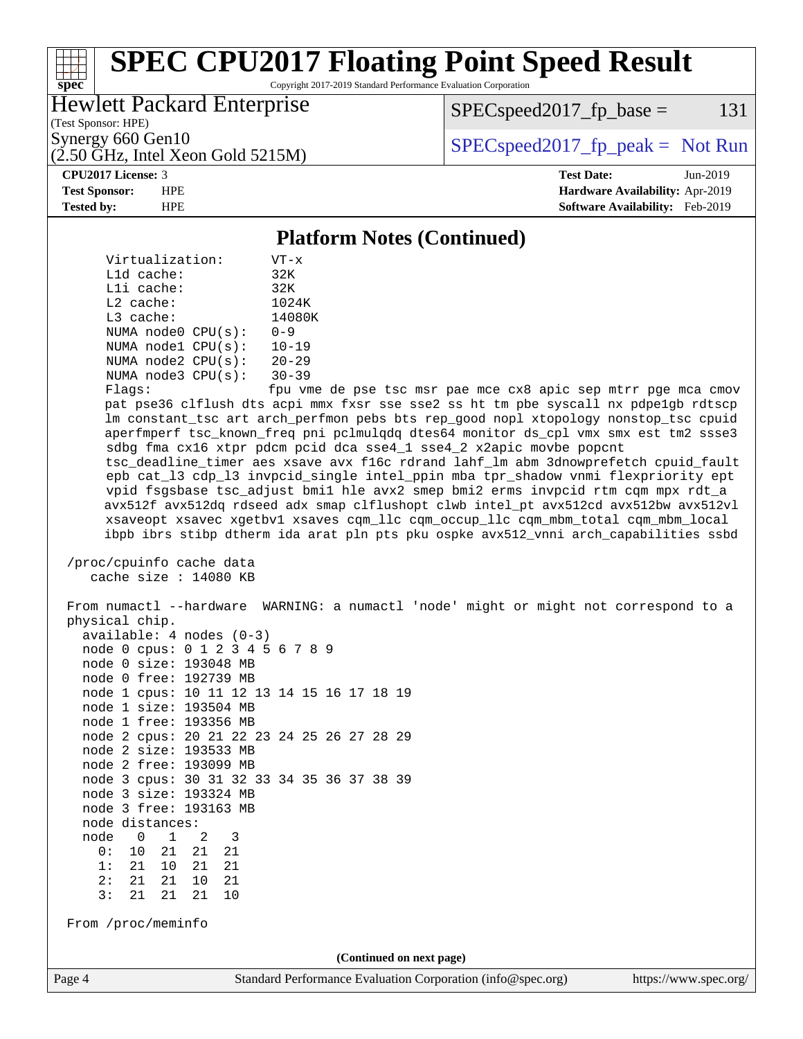Copyright 2017-2019 Standard Performance Evaluation Corporation

## Hewlett Packard Enterprise

 $SPEC speed2017_fp\_base = 131$ 

(Test Sponsor: HPE)

(2.50 GHz, Intel Xeon Gold 5215M)

Synergy 660 Gen10  $S^{perg}$  [SPECspeed2017\\_fp\\_peak =](http://www.spec.org/auto/cpu2017/Docs/result-fields.html#SPECspeed2017fppeak) Not Run

#### **[CPU2017 License:](http://www.spec.org/auto/cpu2017/Docs/result-fields.html#CPU2017License)** 3 **[Test Date:](http://www.spec.org/auto/cpu2017/Docs/result-fields.html#TestDate)** Jun-2019

**[spec](http://www.spec.org/)**

**[Test Sponsor:](http://www.spec.org/auto/cpu2017/Docs/result-fields.html#TestSponsor)** HPE **[Hardware Availability:](http://www.spec.org/auto/cpu2017/Docs/result-fields.html#HardwareAvailability)** Apr-2019 **[Tested by:](http://www.spec.org/auto/cpu2017/Docs/result-fields.html#Testedby)** HPE **[Software Availability:](http://www.spec.org/auto/cpu2017/Docs/result-fields.html#SoftwareAvailability)** Feb-2019

#### **[Platform Notes \(Continued\)](http://www.spec.org/auto/cpu2017/Docs/result-fields.html#PlatformNotes)**

 Virtualization: VT-x L1d cache: 32K L1i cache: 32K L2 cache: 1024K L3 cache: 14080K NUMA node0 CPU(s): 0-9 NUMA node1 CPU(s): 10-19 NUMA node2 CPU(s): 20-29 NUMA node3 CPU(s): 30-39

Flags: fpu vme de pse tsc msr pae mce cx8 apic sep mtrr pge mca cmov pat pse36 clflush dts acpi mmx fxsr sse sse2 ss ht tm pbe syscall nx pdpe1gb rdtscp lm constant\_tsc art arch\_perfmon pebs bts rep\_good nopl xtopology nonstop\_tsc cpuid aperfmperf tsc\_known\_freq pni pclmulqdq dtes64 monitor ds\_cpl vmx smx est tm2 ssse3 sdbg fma cx16 xtpr pdcm pcid dca sse4\_1 sse4\_2 x2apic movbe popcnt tsc\_deadline\_timer aes xsave avx f16c rdrand lahf\_lm abm 3dnowprefetch cpuid\_fault epb cat\_l3 cdp\_l3 invpcid\_single intel\_ppin mba tpr\_shadow vnmi flexpriority ept vpid fsgsbase tsc\_adjust bmi1 hle avx2 smep bmi2 erms invpcid rtm cqm mpx rdt\_a avx512f avx512dq rdseed adx smap clflushopt clwb intel\_pt avx512cd avx512bw avx512vl xsaveopt xsavec xgetbv1 xsaves cqm\_llc cqm\_occup\_llc cqm\_mbm\_total cqm\_mbm\_local ibpb ibrs stibp dtherm ida arat pln pts pku ospke avx512\_vnni arch\_capabilities ssbd

 /proc/cpuinfo cache data cache size : 14080 KB

Page 4 Standard Performance Evaluation Corporation [\(info@spec.org\)](mailto:info@spec.org) <https://www.spec.org/> From numactl --hardware WARNING: a numactl 'node' might or might not correspond to a physical chip. available: 4 nodes (0-3) node 0 cpus: 0 1 2 3 4 5 6 7 8 9 node 0 size: 193048 MB node 0 free: 192739 MB node 1 cpus: 10 11 12 13 14 15 16 17 18 19 node 1 size: 193504 MB node 1 free: 193356 MB node 2 cpus: 20 21 22 23 24 25 26 27 28 29 node 2 size: 193533 MB node 2 free: 193099 MB node 3 cpus: 30 31 32 33 34 35 36 37 38 39 node 3 size: 193324 MB node 3 free: 193163 MB node distances: node 0 1 2 3 0: 10 21 21 21 1: 21 10 21 21 2: 21 21 10 21 3: 21 21 21 10 From /proc/meminfo **(Continued on next page)**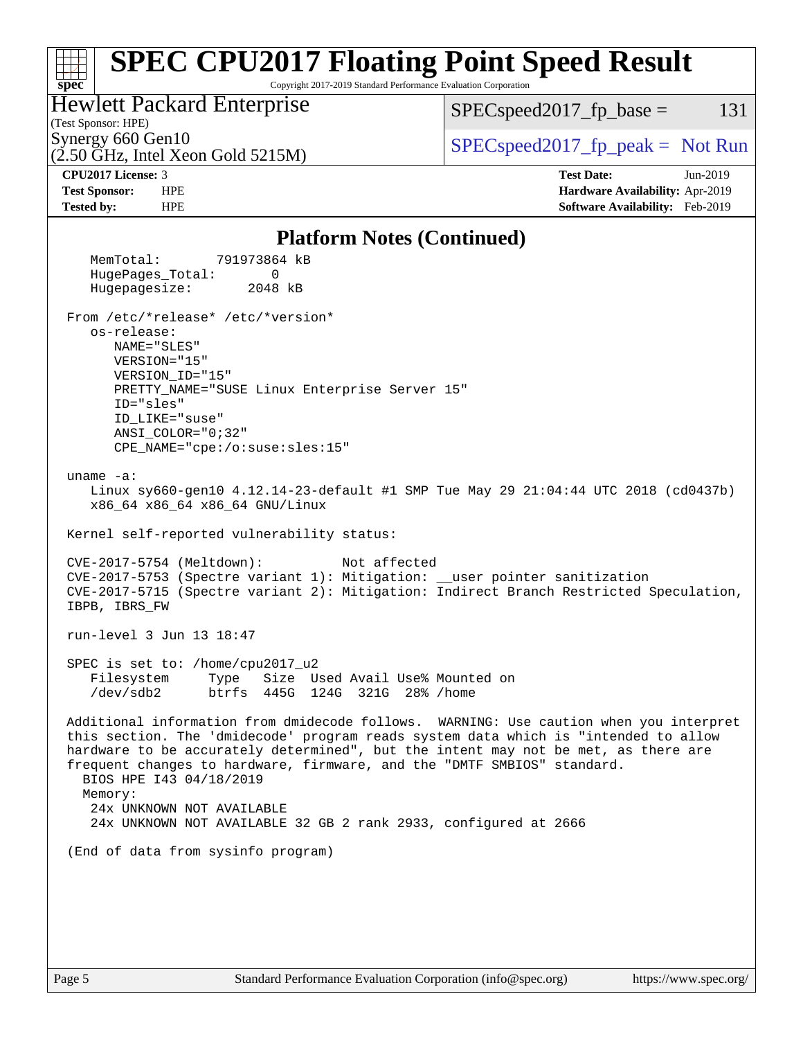#### **[spec](http://www.spec.org/) [SPEC CPU2017 Floating Point Speed Result](http://www.spec.org/auto/cpu2017/Docs/result-fields.html#SPECCPU2017FloatingPointSpeedResult)** Copyright 2017-2019 Standard Performance Evaluation Corporation (Test Sponsor: HPE) Hewlett Packard Enterprise (2.50 GHz, Intel Xeon Gold 5215M) Synergy 660 Gen10<br>  $SPEC speed2017$  [p\_peak = Not Run  $SPEC speed2017<sub>fp</sub> base = 131$ **[CPU2017 License:](http://www.spec.org/auto/cpu2017/Docs/result-fields.html#CPU2017License)** 3 **[Test Date:](http://www.spec.org/auto/cpu2017/Docs/result-fields.html#TestDate)** Jun-2019 **[Test Sponsor:](http://www.spec.org/auto/cpu2017/Docs/result-fields.html#TestSponsor)** HPE **[Hardware Availability:](http://www.spec.org/auto/cpu2017/Docs/result-fields.html#HardwareAvailability)** Apr-2019 **[Tested by:](http://www.spec.org/auto/cpu2017/Docs/result-fields.html#Testedby)** HPE **[Software Availability:](http://www.spec.org/auto/cpu2017/Docs/result-fields.html#SoftwareAvailability)** Feb-2019 **[Platform Notes \(Continued\)](http://www.spec.org/auto/cpu2017/Docs/result-fields.html#PlatformNotes)** MemTotal: 791973864 kB HugePages\_Total: 0 Hugepagesize: 2048 kB From /etc/\*release\* /etc/\*version\* os-release: NAME="SLES" VERSION="15" VERSION\_ID="15" PRETTY\_NAME="SUSE Linux Enterprise Server 15" ID="sles" ID\_LIKE="suse" ANSI\_COLOR="0;32" CPE\_NAME="cpe:/o:suse:sles:15" uname -a: Linux sy660-gen10 4.12.14-23-default #1 SMP Tue May 29 21:04:44 UTC 2018 (cd0437b) x86\_64 x86\_64 x86\_64 GNU/Linux Kernel self-reported vulnerability status: CVE-2017-5754 (Meltdown): Not affected CVE-2017-5753 (Spectre variant 1): Mitigation: \_\_user pointer sanitization CVE-2017-5715 (Spectre variant 2): Mitigation: Indirect Branch Restricted Speculation, IBPB, IBRS\_FW run-level 3 Jun 13 18:47 SPEC is set to: /home/cpu2017\_u2 Filesystem Type Size Used Avail Use% Mounted on /dev/sdb2 btrfs 445G 124G 321G 28% /home Additional information from dmidecode follows. WARNING: Use caution when you interpret this section. The 'dmidecode' program reads system data which is "intended to allow hardware to be accurately determined", but the intent may not be met, as there are frequent changes to hardware, firmware, and the "DMTF SMBIOS" standard. BIOS HPE I43 04/18/2019 Memory: 24x UNKNOWN NOT AVAILABLE 24x UNKNOWN NOT AVAILABLE 32 GB 2 rank 2933, configured at 2666 (End of data from sysinfo program)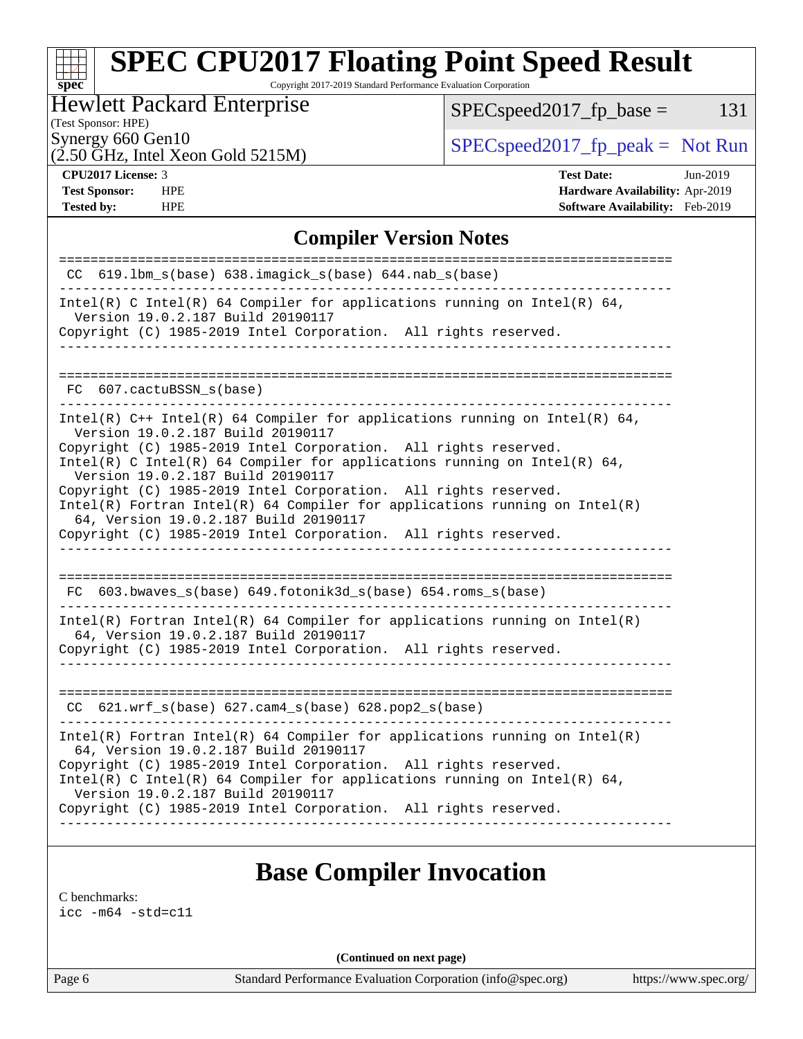Copyright 2017-2019 Standard Performance Evaluation Corporation

## Hewlett Packard Enterprise

 $SPEC speed2017_fp\_base = 131$ 

# (Test Sponsor: HPE)

(2.50 GHz, Intel Xeon Gold 5215M)

Synergy 660 Gen10<br>  $SPEC speed2017<sub>rfp</sub> peak = Not Run$ 

**[spec](http://www.spec.org/)**

**[Tested by:](http://www.spec.org/auto/cpu2017/Docs/result-fields.html#Testedby)** HPE **[Software Availability:](http://www.spec.org/auto/cpu2017/Docs/result-fields.html#SoftwareAvailability)** Feb-2019

**[CPU2017 License:](http://www.spec.org/auto/cpu2017/Docs/result-fields.html#CPU2017License)** 3 **[Test Date:](http://www.spec.org/auto/cpu2017/Docs/result-fields.html#TestDate)** Jun-2019 **[Test Sponsor:](http://www.spec.org/auto/cpu2017/Docs/result-fields.html#TestSponsor)** HPE **[Hardware Availability:](http://www.spec.org/auto/cpu2017/Docs/result-fields.html#HardwareAvailability)** Apr-2019

### **[Compiler Version Notes](http://www.spec.org/auto/cpu2017/Docs/result-fields.html#CompilerVersionNotes)**

| $CC$ 619.1bm_s(base) 638.imagick_s(base) 644.nab_s(base)                                                                                                                         |
|----------------------------------------------------------------------------------------------------------------------------------------------------------------------------------|
| Intel(R) C Intel(R) 64 Compiler for applications running on Intel(R) 64,<br>Version 19.0.2.187 Build 20190117                                                                    |
| Copyright (C) 1985-2019 Intel Corporation. All rights reserved.<br>_____________________________                                                                                 |
|                                                                                                                                                                                  |
| FC 607.cactuBSSN_s(base)                                                                                                                                                         |
| _____________________________                                                                                                                                                    |
| Intel(R) $C++$ Intel(R) 64 Compiler for applications running on Intel(R) 64,<br>Version 19.0.2.187 Build 20190117                                                                |
| Copyright (C) 1985-2019 Intel Corporation. All rights reserved.<br>Intel(R) C Intel(R) 64 Compiler for applications running on Intel(R) 64,<br>Version 19.0.2.187 Build 20190117 |
| Copyright (C) 1985-2019 Intel Corporation. All rights reserved.                                                                                                                  |
| Intel(R) Fortran Intel(R) 64 Compiler for applications running on $Intel(R)$<br>64, Version 19.0.2.187 Build 20190117                                                            |
| Copyright (C) 1985-2019 Intel Corporation. All rights reserved.                                                                                                                  |
| ______________________                                                                                                                                                           |
|                                                                                                                                                                                  |
| $FC$ 603.bwaves_s(base) 649.fotonik3d_s(base) 654.roms_s(base)<br>-------------------------------                                                                                |
| Intel(R) Fortran Intel(R) 64 Compiler for applications running on Intel(R)<br>64, Version 19.0.2.187 Build 20190117                                                              |
| Copyright (C) 1985-2019 Intel Corporation. All rights reserved.                                                                                                                  |
|                                                                                                                                                                                  |
|                                                                                                                                                                                  |
| $CC$ 621.wrf_s(base) 627.cam4_s(base) 628.pop2_s(base)                                                                                                                           |
| $Intel(R)$ Fortran Intel(R) 64 Compiler for applications running on Intel(R)<br>64, Version 19.0.2.187 Build 20190117                                                            |
| Copyright (C) 1985-2019 Intel Corporation. All rights reserved.<br>Intel(R) C Intel(R) 64 Compiler for applications running on Intel(R) 64,                                      |
| Version 19.0.2.187 Build 20190117                                                                                                                                                |
| Copyright (C) 1985-2019 Intel Corporation. All rights reserved.                                                                                                                  |
|                                                                                                                                                                                  |
|                                                                                                                                                                                  |

# **[Base Compiler Invocation](http://www.spec.org/auto/cpu2017/Docs/result-fields.html#BaseCompilerInvocation)**

[C benchmarks](http://www.spec.org/auto/cpu2017/Docs/result-fields.html#Cbenchmarks):

[icc -m64 -std=c11](http://www.spec.org/cpu2017/results/res2019q3/cpu2017-20190625-15782.flags.html#user_CCbase_intel_icc_64bit_c11_33ee0cdaae7deeeab2a9725423ba97205ce30f63b9926c2519791662299b76a0318f32ddfffdc46587804de3178b4f9328c46fa7c2b0cd779d7a61945c91cd35)

**(Continued on next page)**

Page 6 Standard Performance Evaluation Corporation [\(info@spec.org\)](mailto:info@spec.org) <https://www.spec.org/>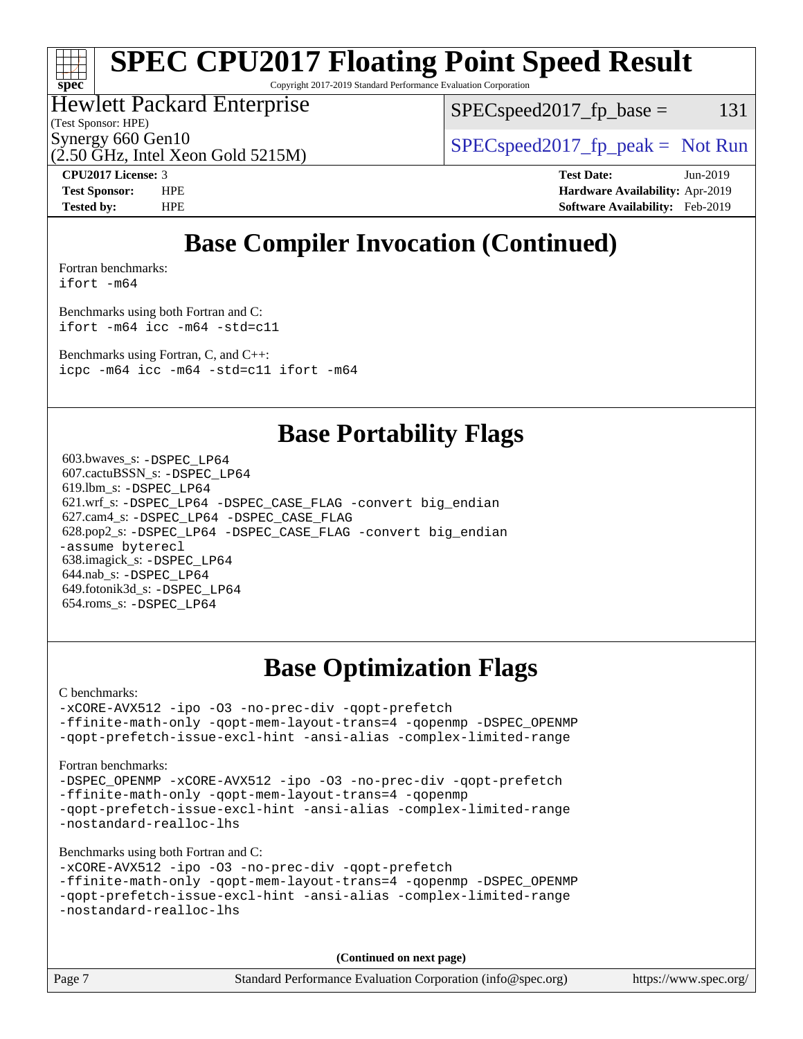# **[spec](http://www.spec.org/)**

# **[SPEC CPU2017 Floating Point Speed Result](http://www.spec.org/auto/cpu2017/Docs/result-fields.html#SPECCPU2017FloatingPointSpeedResult)**

Copyright 2017-2019 Standard Performance Evaluation Corporation

## Hewlett Packard Enterprise

 $SPEC speed2017_f p\_base = 131$ 

(Test Sponsor: HPE)

Synergy 660 Gen10<br>  $SPEC speed2017<sub>rfp</sub> peak = Not Run$ 

(2.50 GHz, Intel Xeon Gold 5215M)

**[CPU2017 License:](http://www.spec.org/auto/cpu2017/Docs/result-fields.html#CPU2017License)** 3 **[Test Date:](http://www.spec.org/auto/cpu2017/Docs/result-fields.html#TestDate)** Jun-2019 **[Test Sponsor:](http://www.spec.org/auto/cpu2017/Docs/result-fields.html#TestSponsor)** HPE **[Hardware Availability:](http://www.spec.org/auto/cpu2017/Docs/result-fields.html#HardwareAvailability)** Apr-2019 **[Tested by:](http://www.spec.org/auto/cpu2017/Docs/result-fields.html#Testedby)** HPE **[Software Availability:](http://www.spec.org/auto/cpu2017/Docs/result-fields.html#SoftwareAvailability)** Feb-2019

# **[Base Compiler Invocation \(Continued\)](http://www.spec.org/auto/cpu2017/Docs/result-fields.html#BaseCompilerInvocation)**

[Fortran benchmarks](http://www.spec.org/auto/cpu2017/Docs/result-fields.html#Fortranbenchmarks): [ifort -m64](http://www.spec.org/cpu2017/results/res2019q3/cpu2017-20190625-15782.flags.html#user_FCbase_intel_ifort_64bit_24f2bb282fbaeffd6157abe4f878425411749daecae9a33200eee2bee2fe76f3b89351d69a8130dd5949958ce389cf37ff59a95e7a40d588e8d3a57e0c3fd751)

[Benchmarks using both Fortran and C](http://www.spec.org/auto/cpu2017/Docs/result-fields.html#BenchmarksusingbothFortranandC): [ifort -m64](http://www.spec.org/cpu2017/results/res2019q3/cpu2017-20190625-15782.flags.html#user_CC_FCbase_intel_ifort_64bit_24f2bb282fbaeffd6157abe4f878425411749daecae9a33200eee2bee2fe76f3b89351d69a8130dd5949958ce389cf37ff59a95e7a40d588e8d3a57e0c3fd751) [icc -m64 -std=c11](http://www.spec.org/cpu2017/results/res2019q3/cpu2017-20190625-15782.flags.html#user_CC_FCbase_intel_icc_64bit_c11_33ee0cdaae7deeeab2a9725423ba97205ce30f63b9926c2519791662299b76a0318f32ddfffdc46587804de3178b4f9328c46fa7c2b0cd779d7a61945c91cd35)

[Benchmarks using Fortran, C, and C++:](http://www.spec.org/auto/cpu2017/Docs/result-fields.html#BenchmarksusingFortranCandCXX)

[icpc -m64](http://www.spec.org/cpu2017/results/res2019q3/cpu2017-20190625-15782.flags.html#user_CC_CXX_FCbase_intel_icpc_64bit_4ecb2543ae3f1412ef961e0650ca070fec7b7afdcd6ed48761b84423119d1bf6bdf5cad15b44d48e7256388bc77273b966e5eb805aefd121eb22e9299b2ec9d9) [icc -m64 -std=c11](http://www.spec.org/cpu2017/results/res2019q3/cpu2017-20190625-15782.flags.html#user_CC_CXX_FCbase_intel_icc_64bit_c11_33ee0cdaae7deeeab2a9725423ba97205ce30f63b9926c2519791662299b76a0318f32ddfffdc46587804de3178b4f9328c46fa7c2b0cd779d7a61945c91cd35) [ifort -m64](http://www.spec.org/cpu2017/results/res2019q3/cpu2017-20190625-15782.flags.html#user_CC_CXX_FCbase_intel_ifort_64bit_24f2bb282fbaeffd6157abe4f878425411749daecae9a33200eee2bee2fe76f3b89351d69a8130dd5949958ce389cf37ff59a95e7a40d588e8d3a57e0c3fd751)

# **[Base Portability Flags](http://www.spec.org/auto/cpu2017/Docs/result-fields.html#BasePortabilityFlags)**

 603.bwaves\_s: [-DSPEC\\_LP64](http://www.spec.org/cpu2017/results/res2019q3/cpu2017-20190625-15782.flags.html#suite_basePORTABILITY603_bwaves_s_DSPEC_LP64) 607.cactuBSSN\_s: [-DSPEC\\_LP64](http://www.spec.org/cpu2017/results/res2019q3/cpu2017-20190625-15782.flags.html#suite_basePORTABILITY607_cactuBSSN_s_DSPEC_LP64) 619.lbm\_s: [-DSPEC\\_LP64](http://www.spec.org/cpu2017/results/res2019q3/cpu2017-20190625-15782.flags.html#suite_basePORTABILITY619_lbm_s_DSPEC_LP64) 621.wrf\_s: [-DSPEC\\_LP64](http://www.spec.org/cpu2017/results/res2019q3/cpu2017-20190625-15782.flags.html#suite_basePORTABILITY621_wrf_s_DSPEC_LP64) [-DSPEC\\_CASE\\_FLAG](http://www.spec.org/cpu2017/results/res2019q3/cpu2017-20190625-15782.flags.html#b621.wrf_s_baseCPORTABILITY_DSPEC_CASE_FLAG) [-convert big\\_endian](http://www.spec.org/cpu2017/results/res2019q3/cpu2017-20190625-15782.flags.html#user_baseFPORTABILITY621_wrf_s_convert_big_endian_c3194028bc08c63ac5d04de18c48ce6d347e4e562e8892b8bdbdc0214820426deb8554edfa529a3fb25a586e65a3d812c835984020483e7e73212c4d31a38223) 627.cam4\_s: [-DSPEC\\_LP64](http://www.spec.org/cpu2017/results/res2019q3/cpu2017-20190625-15782.flags.html#suite_basePORTABILITY627_cam4_s_DSPEC_LP64) [-DSPEC\\_CASE\\_FLAG](http://www.spec.org/cpu2017/results/res2019q3/cpu2017-20190625-15782.flags.html#b627.cam4_s_baseCPORTABILITY_DSPEC_CASE_FLAG) 628.pop2\_s: [-DSPEC\\_LP64](http://www.spec.org/cpu2017/results/res2019q3/cpu2017-20190625-15782.flags.html#suite_basePORTABILITY628_pop2_s_DSPEC_LP64) [-DSPEC\\_CASE\\_FLAG](http://www.spec.org/cpu2017/results/res2019q3/cpu2017-20190625-15782.flags.html#b628.pop2_s_baseCPORTABILITY_DSPEC_CASE_FLAG) [-convert big\\_endian](http://www.spec.org/cpu2017/results/res2019q3/cpu2017-20190625-15782.flags.html#user_baseFPORTABILITY628_pop2_s_convert_big_endian_c3194028bc08c63ac5d04de18c48ce6d347e4e562e8892b8bdbdc0214820426deb8554edfa529a3fb25a586e65a3d812c835984020483e7e73212c4d31a38223) [-assume byterecl](http://www.spec.org/cpu2017/results/res2019q3/cpu2017-20190625-15782.flags.html#user_baseFPORTABILITY628_pop2_s_assume_byterecl_7e47d18b9513cf18525430bbf0f2177aa9bf368bc7a059c09b2c06a34b53bd3447c950d3f8d6c70e3faf3a05c8557d66a5798b567902e8849adc142926523472) 638.imagick\_s: [-DSPEC\\_LP64](http://www.spec.org/cpu2017/results/res2019q3/cpu2017-20190625-15782.flags.html#suite_basePORTABILITY638_imagick_s_DSPEC_LP64) 644.nab\_s: [-DSPEC\\_LP64](http://www.spec.org/cpu2017/results/res2019q3/cpu2017-20190625-15782.flags.html#suite_basePORTABILITY644_nab_s_DSPEC_LP64) 649.fotonik3d\_s: [-DSPEC\\_LP64](http://www.spec.org/cpu2017/results/res2019q3/cpu2017-20190625-15782.flags.html#suite_basePORTABILITY649_fotonik3d_s_DSPEC_LP64) 654.roms\_s: [-DSPEC\\_LP64](http://www.spec.org/cpu2017/results/res2019q3/cpu2017-20190625-15782.flags.html#suite_basePORTABILITY654_roms_s_DSPEC_LP64)

# **[Base Optimization Flags](http://www.spec.org/auto/cpu2017/Docs/result-fields.html#BaseOptimizationFlags)**

[C benchmarks](http://www.spec.org/auto/cpu2017/Docs/result-fields.html#Cbenchmarks):

[-xCORE-AVX512](http://www.spec.org/cpu2017/results/res2019q3/cpu2017-20190625-15782.flags.html#user_CCbase_f-xCORE-AVX512) [-ipo](http://www.spec.org/cpu2017/results/res2019q3/cpu2017-20190625-15782.flags.html#user_CCbase_f-ipo) [-O3](http://www.spec.org/cpu2017/results/res2019q3/cpu2017-20190625-15782.flags.html#user_CCbase_f-O3) [-no-prec-div](http://www.spec.org/cpu2017/results/res2019q3/cpu2017-20190625-15782.flags.html#user_CCbase_f-no-prec-div) [-qopt-prefetch](http://www.spec.org/cpu2017/results/res2019q3/cpu2017-20190625-15782.flags.html#user_CCbase_f-qopt-prefetch) [-ffinite-math-only](http://www.spec.org/cpu2017/results/res2019q3/cpu2017-20190625-15782.flags.html#user_CCbase_f_finite_math_only_cb91587bd2077682c4b38af759c288ed7c732db004271a9512da14a4f8007909a5f1427ecbf1a0fb78ff2a814402c6114ac565ca162485bbcae155b5e4258871) [-qopt-mem-layout-trans=4](http://www.spec.org/cpu2017/results/res2019q3/cpu2017-20190625-15782.flags.html#user_CCbase_f-qopt-mem-layout-trans_fa39e755916c150a61361b7846f310bcdf6f04e385ef281cadf3647acec3f0ae266d1a1d22d972a7087a248fd4e6ca390a3634700869573d231a252c784941a8) [-qopenmp](http://www.spec.org/cpu2017/results/res2019q3/cpu2017-20190625-15782.flags.html#user_CCbase_qopenmp_16be0c44f24f464004c6784a7acb94aca937f053568ce72f94b139a11c7c168634a55f6653758ddd83bcf7b8463e8028bb0b48b77bcddc6b78d5d95bb1df2967) [-DSPEC\\_OPENMP](http://www.spec.org/cpu2017/results/res2019q3/cpu2017-20190625-15782.flags.html#suite_CCbase_DSPEC_OPENMP) [-qopt-prefetch-issue-excl-hint](http://www.spec.org/cpu2017/results/res2019q3/cpu2017-20190625-15782.flags.html#user_CCbase_f-qopt-prefetch-issue-excl-hint) [-ansi-alias](http://www.spec.org/cpu2017/results/res2019q3/cpu2017-20190625-15782.flags.html#user_CCbase_f-ansi-alias) [-complex-limited-range](http://www.spec.org/cpu2017/results/res2019q3/cpu2017-20190625-15782.flags.html#user_CCbase_f-complex-limited-range)

[Fortran benchmarks](http://www.spec.org/auto/cpu2017/Docs/result-fields.html#Fortranbenchmarks):

[-DSPEC\\_OPENMP](http://www.spec.org/cpu2017/results/res2019q3/cpu2017-20190625-15782.flags.html#suite_FCbase_DSPEC_OPENMP) [-xCORE-AVX512](http://www.spec.org/cpu2017/results/res2019q3/cpu2017-20190625-15782.flags.html#user_FCbase_f-xCORE-AVX512) [-ipo](http://www.spec.org/cpu2017/results/res2019q3/cpu2017-20190625-15782.flags.html#user_FCbase_f-ipo) [-O3](http://www.spec.org/cpu2017/results/res2019q3/cpu2017-20190625-15782.flags.html#user_FCbase_f-O3) [-no-prec-div](http://www.spec.org/cpu2017/results/res2019q3/cpu2017-20190625-15782.flags.html#user_FCbase_f-no-prec-div) [-qopt-prefetch](http://www.spec.org/cpu2017/results/res2019q3/cpu2017-20190625-15782.flags.html#user_FCbase_f-qopt-prefetch) [-ffinite-math-only](http://www.spec.org/cpu2017/results/res2019q3/cpu2017-20190625-15782.flags.html#user_FCbase_f_finite_math_only_cb91587bd2077682c4b38af759c288ed7c732db004271a9512da14a4f8007909a5f1427ecbf1a0fb78ff2a814402c6114ac565ca162485bbcae155b5e4258871) [-qopt-mem-layout-trans=4](http://www.spec.org/cpu2017/results/res2019q3/cpu2017-20190625-15782.flags.html#user_FCbase_f-qopt-mem-layout-trans_fa39e755916c150a61361b7846f310bcdf6f04e385ef281cadf3647acec3f0ae266d1a1d22d972a7087a248fd4e6ca390a3634700869573d231a252c784941a8) [-qopenmp](http://www.spec.org/cpu2017/results/res2019q3/cpu2017-20190625-15782.flags.html#user_FCbase_qopenmp_16be0c44f24f464004c6784a7acb94aca937f053568ce72f94b139a11c7c168634a55f6653758ddd83bcf7b8463e8028bb0b48b77bcddc6b78d5d95bb1df2967) [-qopt-prefetch-issue-excl-hint](http://www.spec.org/cpu2017/results/res2019q3/cpu2017-20190625-15782.flags.html#user_FCbase_f-qopt-prefetch-issue-excl-hint) [-ansi-alias](http://www.spec.org/cpu2017/results/res2019q3/cpu2017-20190625-15782.flags.html#user_FCbase_f-ansi-alias) [-complex-limited-range](http://www.spec.org/cpu2017/results/res2019q3/cpu2017-20190625-15782.flags.html#user_FCbase_f-complex-limited-range) [-nostandard-realloc-lhs](http://www.spec.org/cpu2017/results/res2019q3/cpu2017-20190625-15782.flags.html#user_FCbase_f_2003_std_realloc_82b4557e90729c0f113870c07e44d33d6f5a304b4f63d4c15d2d0f1fab99f5daaed73bdb9275d9ae411527f28b936061aa8b9c8f2d63842963b95c9dd6426b8a)

[Benchmarks using both Fortran and C](http://www.spec.org/auto/cpu2017/Docs/result-fields.html#BenchmarksusingbothFortranandC):

```
-xCORE-AVX512 -ipo -O3 -no-prec-div -qopt-prefetch
-ffinite-math-only -qopt-mem-layout-trans=4 -qopenmp -DSPEC_OPENMP
-qopt-prefetch-issue-excl-hint -ansi-alias -complex-limited-range
-nostandard-realloc-lhs
```
**(Continued on next page)**